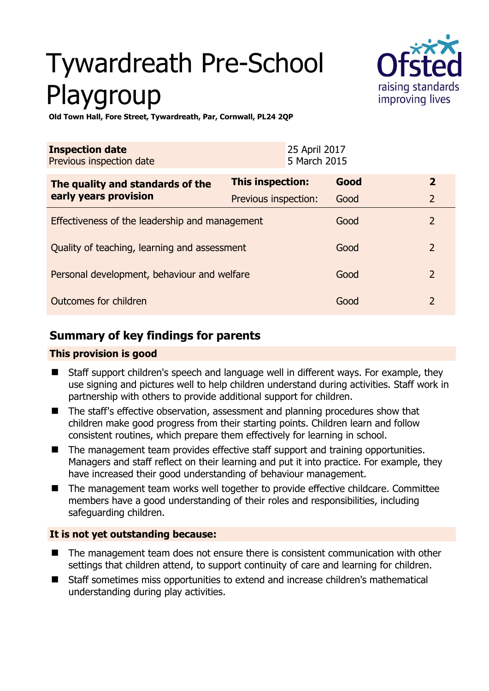# Tywardreath Pre-School Playgroup



**Old Town Hall, Fore Street, Tywardreath, Par, Cornwall, PL24 2QP** 

| <b>Inspection date</b><br>Previous inspection date        | 25 April 2017<br>5 March 2015 |      |                |
|-----------------------------------------------------------|-------------------------------|------|----------------|
| The quality and standards of the<br>early years provision | This inspection:              | Good | $\overline{2}$ |
|                                                           | Previous inspection:          | Good | $\overline{2}$ |
| Effectiveness of the leadership and management            |                               | Good | $\overline{2}$ |
| Quality of teaching, learning and assessment              |                               | Good | $\overline{2}$ |
| Personal development, behaviour and welfare               |                               | Good | $\overline{2}$ |
| Outcomes for children                                     |                               | Good | $\overline{2}$ |

# **Summary of key findings for parents**

#### **This provision is good**

- Staff support children's speech and language well in different ways. For example, they use signing and pictures well to help children understand during activities. Staff work in partnership with others to provide additional support for children.
- The staff's effective observation, assessment and planning procedures show that children make good progress from their starting points. Children learn and follow consistent routines, which prepare them effectively for learning in school.
- The management team provides effective staff support and training opportunities. Managers and staff reflect on their learning and put it into practice. For example, they have increased their good understanding of behaviour management.
- The management team works well together to provide effective childcare. Committee members have a good understanding of their roles and responsibilities, including safeguarding children.

### **It is not yet outstanding because:**

- The management team does not ensure there is consistent communication with other settings that children attend, to support continuity of care and learning for children.
- Staff sometimes miss opportunities to extend and increase children's mathematical understanding during play activities.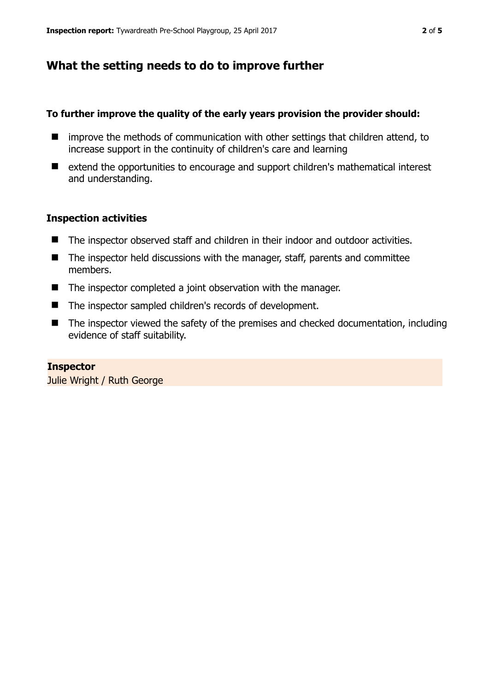## **What the setting needs to do to improve further**

#### **To further improve the quality of the early years provision the provider should:**

- $\blacksquare$  improve the methods of communication with other settings that children attend, to increase support in the continuity of children's care and learning
- extend the opportunities to encourage and support children's mathematical interest and understanding.

#### **Inspection activities**

- The inspector observed staff and children in their indoor and outdoor activities.
- The inspector held discussions with the manager, staff, parents and committee members.
- The inspector completed a joint observation with the manager.
- The inspector sampled children's records of development.
- The inspector viewed the safety of the premises and checked documentation, including evidence of staff suitability.

#### **Inspector**

Julie Wright / Ruth George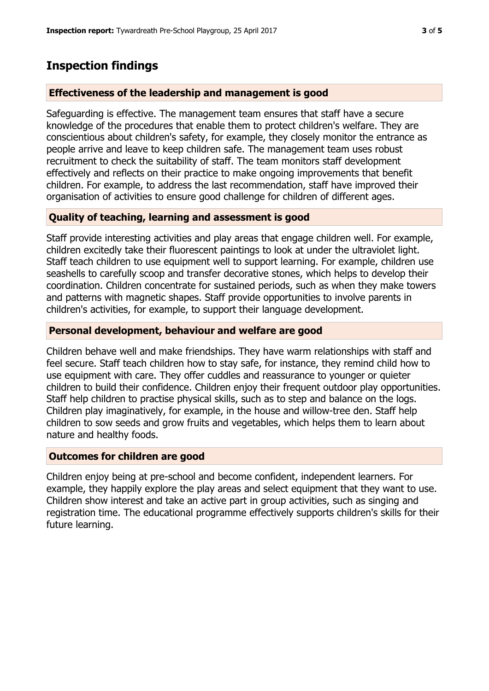## **Inspection findings**

#### **Effectiveness of the leadership and management is good**

Safeguarding is effective. The management team ensures that staff have a secure knowledge of the procedures that enable them to protect children's welfare. They are conscientious about children's safety, for example, they closely monitor the entrance as people arrive and leave to keep children safe. The management team uses robust recruitment to check the suitability of staff. The team monitors staff development effectively and reflects on their practice to make ongoing improvements that benefit children. For example, to address the last recommendation, staff have improved their organisation of activities to ensure good challenge for children of different ages.

#### **Quality of teaching, learning and assessment is good**

Staff provide interesting activities and play areas that engage children well. For example, children excitedly take their fluorescent paintings to look at under the ultraviolet light. Staff teach children to use equipment well to support learning. For example, children use seashells to carefully scoop and transfer decorative stones, which helps to develop their coordination. Children concentrate for sustained periods, such as when they make towers and patterns with magnetic shapes. Staff provide opportunities to involve parents in children's activities, for example, to support their language development.

#### **Personal development, behaviour and welfare are good**

Children behave well and make friendships. They have warm relationships with staff and feel secure. Staff teach children how to stay safe, for instance, they remind child how to use equipment with care. They offer cuddles and reassurance to younger or quieter children to build their confidence. Children enjoy their frequent outdoor play opportunities. Staff help children to practise physical skills, such as to step and balance on the logs. Children play imaginatively, for example, in the house and willow-tree den. Staff help children to sow seeds and grow fruits and vegetables, which helps them to learn about nature and healthy foods.

#### **Outcomes for children are good**

Children enjoy being at pre-school and become confident, independent learners. For example, they happily explore the play areas and select equipment that they want to use. Children show interest and take an active part in group activities, such as singing and registration time. The educational programme effectively supports children's skills for their future learning.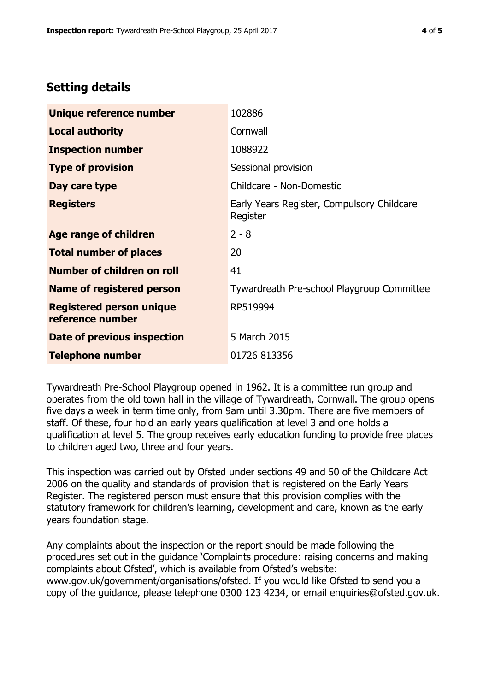# **Setting details**

| Unique reference number                             | 102886                                                 |  |
|-----------------------------------------------------|--------------------------------------------------------|--|
| <b>Local authority</b>                              | Cornwall                                               |  |
| <b>Inspection number</b>                            | 1088922                                                |  |
| <b>Type of provision</b>                            | Sessional provision                                    |  |
| Day care type                                       | Childcare - Non-Domestic                               |  |
| <b>Registers</b>                                    | Early Years Register, Compulsory Childcare<br>Register |  |
| <b>Age range of children</b>                        | $2 - 8$                                                |  |
| <b>Total number of places</b>                       | 20                                                     |  |
| Number of children on roll                          | 41                                                     |  |
| Name of registered person                           | Tywardreath Pre-school Playgroup Committee             |  |
| <b>Registered person unique</b><br>reference number | RP519994                                               |  |
| <b>Date of previous inspection</b>                  | 5 March 2015                                           |  |
| <b>Telephone number</b>                             | 01726 813356                                           |  |

Tywardreath Pre-School Playgroup opened in 1962. It is a committee run group and operates from the old town hall in the village of Tywardreath, Cornwall. The group opens five days a week in term time only, from 9am until 3.30pm. There are five members of staff. Of these, four hold an early years qualification at level 3 and one holds a qualification at level 5. The group receives early education funding to provide free places to children aged two, three and four years.

This inspection was carried out by Ofsted under sections 49 and 50 of the Childcare Act 2006 on the quality and standards of provision that is registered on the Early Years Register. The registered person must ensure that this provision complies with the statutory framework for children's learning, development and care, known as the early years foundation stage.

Any complaints about the inspection or the report should be made following the procedures set out in the guidance 'Complaints procedure: raising concerns and making complaints about Ofsted', which is available from Ofsted's website: www.gov.uk/government/organisations/ofsted. If you would like Ofsted to send you a copy of the guidance, please telephone 0300 123 4234, or email enquiries@ofsted.gov.uk.